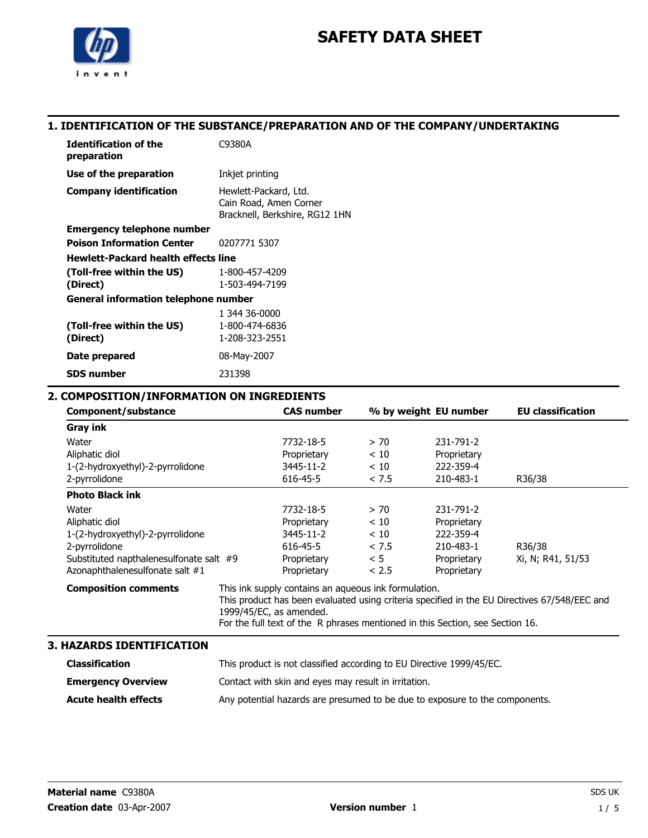

### 1. IDENTIFICATION OF THE SUBSTANCE/PREPARATION AND OF THE COMPANY/UNDERTAKING

| <b>Identification of the</b><br>preparation | C9380A                                                                            |  |
|---------------------------------------------|-----------------------------------------------------------------------------------|--|
| Use of the preparation                      | Inkjet printing                                                                   |  |
| <b>Company identification</b>               | Hewlett-Packard, Ltd.<br>Cain Road, Amen Corner<br>Bracknell, Berkshire, RG12 1HN |  |
| <b>Emergency telephone number</b>           |                                                                                   |  |
| <b>Poison Information Center</b>            | 0207771 5307                                                                      |  |
| <b>Hewlett-Packard health effects line</b>  |                                                                                   |  |
| (Toll-free within the US)                   | 1-800-457-4209                                                                    |  |
| (Direct)                                    | 1-503-494-7199                                                                    |  |
| General information telephone number        |                                                                                   |  |
|                                             | 1 344 36-0000                                                                     |  |
| (Toll-free within the US)                   | 1-800-474-6836                                                                    |  |
| (Direct)                                    | 1-208-323-2551                                                                    |  |
| Date prepared                               | 08-May-2007                                                                       |  |
| SDS number                                  | 231398                                                                            |  |

### 2. COMPOSITION/INFORMATION ON INGREDIENTS

| Component/substance                     | <b>CAS number</b>                                                                            |       | % by weight EU number | <b>EU classification</b> |
|-----------------------------------------|----------------------------------------------------------------------------------------------|-------|-----------------------|--------------------------|
| <b>Gray ink</b>                         |                                                                                              |       |                       |                          |
| Water                                   | 7732-18-5                                                                                    | > 70  | 231-791-2             |                          |
| Aliphatic diol                          | Proprietary                                                                                  | < 10  | Proprietary           |                          |
| 1-(2-hydroxyethyl)-2-pyrrolidone        | 3445-11-2                                                                                    | < 10  | 222-359-4             |                          |
| 2-pyrrolidone                           | 616-45-5                                                                                     | < 7.5 | 210-483-1             | R36/38                   |
| <b>Photo Black ink</b>                  |                                                                                              |       |                       |                          |
| Water                                   | 7732-18-5                                                                                    | > 70  | 231-791-2             |                          |
| Aliphatic diol                          | Proprietary                                                                                  | < 10  | Proprietary           |                          |
| 1-(2-hydroxyethyl)-2-pyrrolidone        | 3445-11-2                                                                                    | < 10  | 222-359-4             |                          |
| 2-pyrrolidone                           | 616-45-5                                                                                     | < 7.5 | 210-483-1             | R36/38                   |
| Substituted napthalenesulfonate salt #9 | Proprietary                                                                                  | < 5   | Proprietary           | Xi, N; R41, 51/53        |
| Azonaphthalenesulfonate salt #1         | Proprietary                                                                                  | < 2.5 | Proprietary           |                          |
| <b>Composition comments</b>             | This ink supply contains an aqueous ink formulation.                                         |       |                       |                          |
|                                         | This product has been evaluated using criteria specified in the EU Directives 67/548/EEC and |       |                       |                          |
|                                         | 1999/45/EC, as amended.                                                                      |       |                       |                          |
|                                         | For the full text of the R phrases mentioned in this Section, see Section 16.                |       |                       |                          |

### 3. HAZARDS IDENTIFICATION

| Classification              | This product is not classified according to EU Directive 1999/45/EC.        |
|-----------------------------|-----------------------------------------------------------------------------|
| <b>Emergency Overview</b>   | Contact with skin and eyes may result in irritation.                        |
| <b>Acute health effects</b> | Any potential hazards are presumed to be due to exposure to the components. |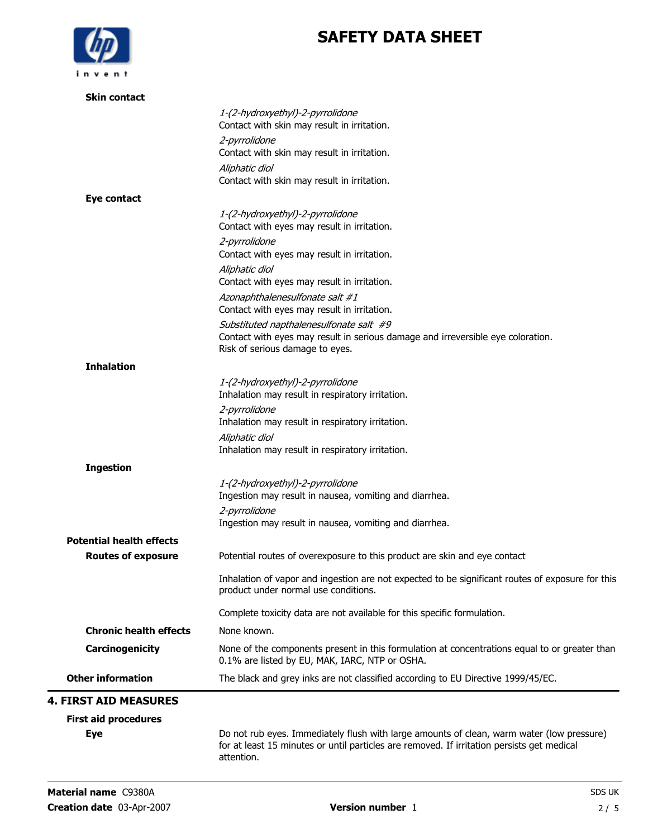

| <b>Skin contact</b>             |                                                                                                                                                               |
|---------------------------------|---------------------------------------------------------------------------------------------------------------------------------------------------------------|
|                                 | 1-(2-hydroxyethyl)-2-pyrrolidone<br>Contact with skin may result in irritation.                                                                               |
|                                 | 2-pyrrolidone<br>Contact with skin may result in irritation.                                                                                                  |
|                                 | Aliphatic diol<br>Contact with skin may result in irritation.                                                                                                 |
| Eye contact                     |                                                                                                                                                               |
|                                 | 1-(2-hydroxyethyl)-2-pyrrolidone<br>Contact with eyes may result in irritation.                                                                               |
|                                 | 2-pyrrolidone<br>Contact with eyes may result in irritation.                                                                                                  |
|                                 | Aliphatic diol<br>Contact with eyes may result in irritation.                                                                                                 |
|                                 | Azonaphthalenesulfonate salt #1<br>Contact with eyes may result in irritation.                                                                                |
|                                 | Substituted napthalenesulfonate salt #9<br>Contact with eyes may result in serious damage and irreversible eye coloration.<br>Risk of serious damage to eyes. |
| <b>Inhalation</b>               |                                                                                                                                                               |
|                                 | 1-(2-hydroxyethyl)-2-pyrrolidone<br>Inhalation may result in respiratory irritation.                                                                          |
|                                 | 2-pyrrolidone<br>Inhalation may result in respiratory irritation.                                                                                             |
|                                 | Aliphatic diol<br>Inhalation may result in respiratory irritation.                                                                                            |
| <b>Ingestion</b>                |                                                                                                                                                               |
|                                 | 1-(2-hydroxyethyl)-2-pyrrolidone<br>Ingestion may result in nausea, vomiting and diarrhea.                                                                    |
|                                 | 2-pyrrolidone<br>Ingestion may result in nausea, vomiting and diarrhea.                                                                                       |
| <b>Potential health effects</b> |                                                                                                                                                               |
| <b>Routes of exposure</b>       | Potential routes of overexposure to this product are skin and eye contact                                                                                     |
|                                 | Inhalation of vapor and ingestion are not expected to be significant routes of exposure for this<br>product under normal use conditions.                      |
|                                 | Complete toxicity data are not available for this specific formulation.                                                                                       |
| <b>Chronic health effects</b>   | None known.                                                                                                                                                   |
| Carcinogenicity                 | None of the components present in this formulation at concentrations equal to or greater than<br>0.1% are listed by EU, MAK, IARC, NTP or OSHA.               |
| <b>Other information</b>        | The black and grey inks are not classified according to EU Directive 1999/45/EC.                                                                              |
| <b>4. FIRST AID MEASURES</b>    |                                                                                                                                                               |
| <b>First aid procedures</b>     |                                                                                                                                                               |
|                                 |                                                                                                                                                               |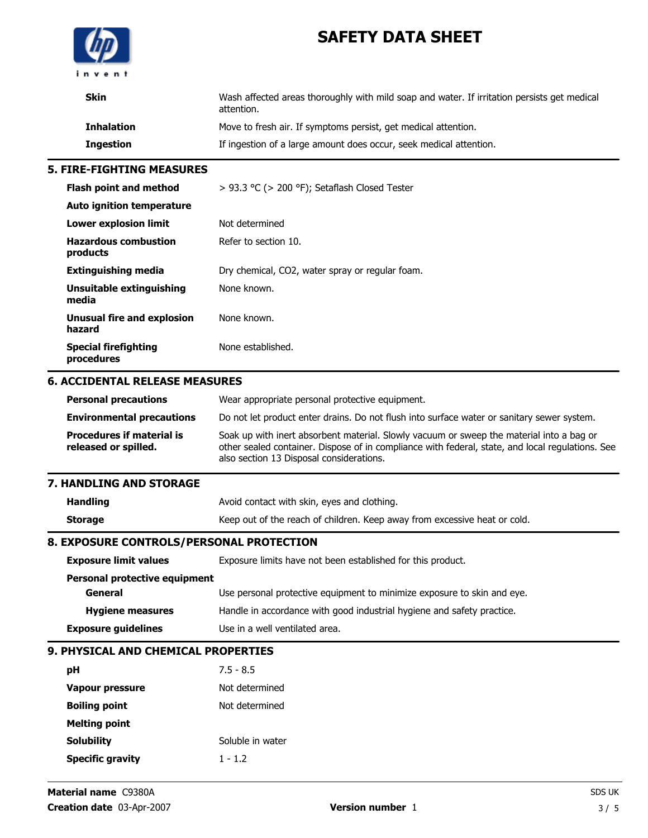

| <b>Skin</b>                             | Wash affected areas thoroughly with mild soap and water. If irritation persists get medical<br>attention. |
|-----------------------------------------|-----------------------------------------------------------------------------------------------------------|
| <b>Inhalation</b>                       | Move to fresh air. If symptoms persist, get medical attention.                                            |
| <b>Ingestion</b>                        | If ingestion of a large amount does occur, seek medical attention.                                        |
| <b>5. FIRE-FIGHTING MEASURES</b>        |                                                                                                           |
| <b>Flash point and method</b>           | > 93.3 °C (> 200 °F); Setaflash Closed Tester                                                             |
| Auto ignition temperature               |                                                                                                           |
| Lower explosion limit                   | Not determined                                                                                            |
| <b>Hazardous combustion</b><br>products | Refer to section 10.                                                                                      |
| <b>Extinguishing media</b>              | Dry chemical, CO2, water spray or regular foam.                                                           |
| Unsuitable extinguishing<br>media       | None known.                                                                                               |
| Unusual fire and explosion<br>hazard    | None known.                                                                                               |

### 6. ACCIDENTAL RELEASE MEASURES

| <b>Personal precautions</b>                              | Wear appropriate personal protective equipment.                                                                                                                                                                                          |
|----------------------------------------------------------|------------------------------------------------------------------------------------------------------------------------------------------------------------------------------------------------------------------------------------------|
| <b>Environmental precautions</b>                         | Do not let product enter drains. Do not flush into surface water or sanitary sewer system.                                                                                                                                               |
| <b>Procedures if material is</b><br>released or spilled. | Soak up with inert absorbent material. Slowly vacuum or sweep the material into a bag or<br>other sealed container. Dispose of in compliance with federal, state, and local regulations. See<br>also section 13 Disposal considerations. |

#### 7. HANDLING AND STORAGE

Special firefighting procedures

| <b>Handling</b> | Avoid contact with skin, eyes and clothing.                               |
|-----------------|---------------------------------------------------------------------------|
| Storage         | Keep out of the reach of children. Keep away from excessive heat or cold. |

None established.

### 8. EXPOSURE CONTROLS/PERSONAL PROTECTION

| <b>Exposure limit values</b>  | Exposure limits have not been established for this product.             |
|-------------------------------|-------------------------------------------------------------------------|
| Personal protective equipment |                                                                         |
| General                       | Use personal protective equipment to minimize exposure to skin and eye. |
| <b>Hygiene measures</b>       | Handle in accordance with good industrial hygiene and safety practice.  |
| <b>Exposure guidelines</b>    | Use in a well ventilated area.                                          |

### 9. PHYSICAL AND CHEMICAL PROPERTIES

| рH                      | $7.5 - 8.5$      |
|-------------------------|------------------|
| Vapour pressure         | Not determined   |
| <b>Boiling point</b>    | Not determined   |
| <b>Melting point</b>    |                  |
| <b>Solubility</b>       | Soluble in water |
| <b>Specific gravity</b> | $1 - 1.2$        |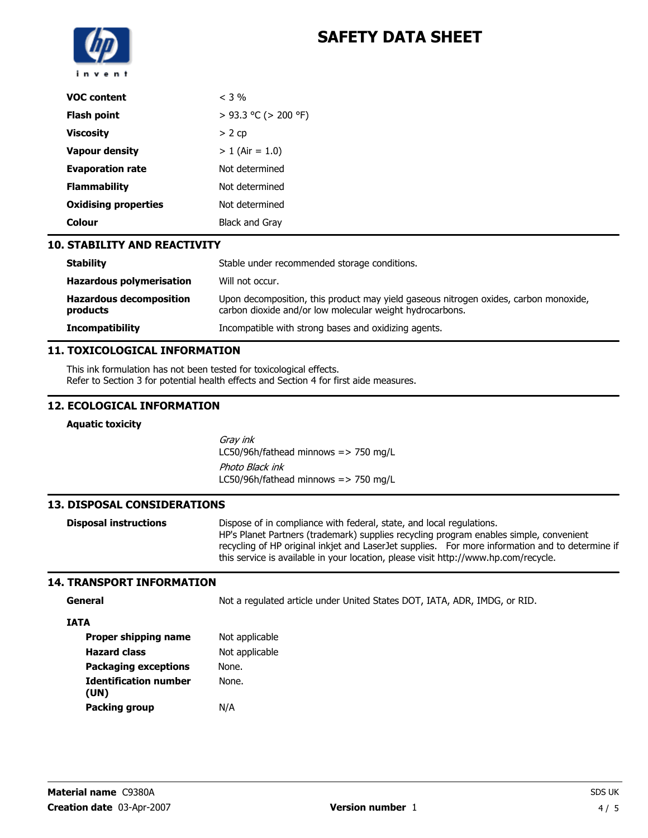

| <b>VOC content</b>          | $<$ 3 %              |
|-----------------------------|----------------------|
| <b>Flash point</b>          | > 93.3 °C (> 200 °F) |
| <b>Viscosity</b>            | > 2cp                |
| <b>Vapour density</b>       | $> 1$ (Air = 1.0)    |
| <b>Evaporation rate</b>     | Not determined       |
| <b>Flammability</b>         | Not determined       |
| <b>Oxidising properties</b> | Not determined       |
| Colour                      | Black and Gray       |

### 10. STABILITY AND REACTIVITY

| <b>Stability</b>                           | Stable under recommended storage conditions.                                                                                                     |
|--------------------------------------------|--------------------------------------------------------------------------------------------------------------------------------------------------|
| <b>Hazardous polymerisation</b>            | Will not occur.                                                                                                                                  |
| <b>Hazardous decomposition</b><br>products | Upon decomposition, this product may yield gaseous nitrogen oxides, carbon monoxide,<br>carbon dioxide and/or low molecular weight hydrocarbons. |
| <b>Incompatibility</b>                     | Incompatible with strong bases and oxidizing agents.                                                                                             |

### 11. TOXICOLOGICAL INFORMATION

This ink formulation has not been tested for toxicological effects. Refer to Section 3 for potential health effects and Section 4 for first aide measures.

### 12. ECOLOGICAL INFORMATION

#### Aquatic toxicity

Gray ink LC50/96h/fathead minnows  $\approx$  750 mg/L Photo Black ink LC50/96h/fathead minnows  $\approx$  750 mg/L

### 13. DISPOSAL CONSIDERATIONS

**Disposal instructions** Dispose of in compliance with federal, state, and local regulations. HP's Planet Partners (trademark) supplies recycling program enables simple, convenient recycling of HP original inkjet and LaserJet supplies. For more information and to determine if this service is available in your location, please visit http://www.hp.com/recycle.

### 14. TRANSPORT INFORMATION

General **General** Not a regulated article under United States DOT, IATA, ADR, IMDG, or RID.

#### IATA

| Proper shipping name                 | Not applicable |
|--------------------------------------|----------------|
| <b>Hazard class</b>                  | Not applicable |
| <b>Packaging exceptions</b>          | None.          |
| <b>Identification number</b><br>(UN) | None.          |
| <b>Packing group</b>                 | N/A            |